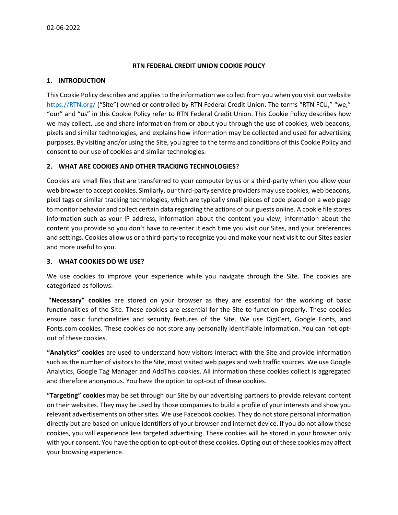### **RTN FEDERAL CREDIT UNION COOKIE POLICY**

#### **1. INTRODUCTION**

This Cookie Policy describes and applies to the information we collect from you when you visit our website [https://RTN.org/](https://rtn.org/) ("Site") owned or controlled by RTN Federal Credit Union. The terms "RTN FCU," "we," "our" and "us" in this Cookie Policy refer to RTN Federal Credit Union. This Cookie Policy describes how we may collect, use and share information from or about you through the use of cookies, web beacons, pixels and similar technologies, and explains how information may be collected and used for advertising purposes. By visiting and/or using the Site, you agree to the terms and conditions of this Cookie Policy and consent to our use of cookies and similar technologies.

### **2. WHAT ARE COOKIES AND OTHER TRACKING TECHNOLOGIES?**

Cookies are small files that are transferred to your computer by us or a third-party when you allow your web browser to accept cookies. Similarly, our third-party service providers may use cookies, web beacons, pixel tags or similar tracking technologies, which are typically small pieces of code placed on a web page to monitor behavior and collect certain data regarding the actions of our guests online. A cookie file stores information such as your IP address, information about the content you view, information about the content you provide so you don't have to re-enter it each time you visit our Sites, and your preferences and settings. Cookies allow us or a third-party to recognize you and make your next visit to our Sites easier and more useful to you.

### **3. WHAT COOKIES DO WE USE?**

We use cookies to improve your experience while you navigate through the Site. The cookies are categorized as follows:

**"Necessary" cookies** are stored on your browser as they are essential for the working of basic functionalities of the Site. These cookies are essential for the Site to function properly. These cookies ensure basic functionalities and security features of the Site. We use DigiCert, Google Fonts, and Fonts.com cookies. These cookies do not store any personally identifiable information. You can not optout of these cookies.

**"Analytics" cookies** are used to understand how visitors interact with the Site and provide information such as the number of visitors to the Site, most visited web pages and web traffic sources. We use Google Analytics, Google Tag Manager and AddThis cookies. All information these cookies collect is aggregated and therefore anonymous. You have the option to opt-out of these cookies.

**"Targeting" cookies** may be set through our Site by our advertising partners to provide relevant content on their websites. They may be used by those companies to build a profile of your interests and show you relevant advertisements on other sites. We use Facebook cookies. They do not store personal information directly but are based on unique identifiers of your browser and internet device. If you do not allow these cookies, you will experience less targeted advertising. These cookies will be stored in your browser only with your consent. You have the option to opt-out of these cookies. Opting out of these cookies may affect your browsing experience.